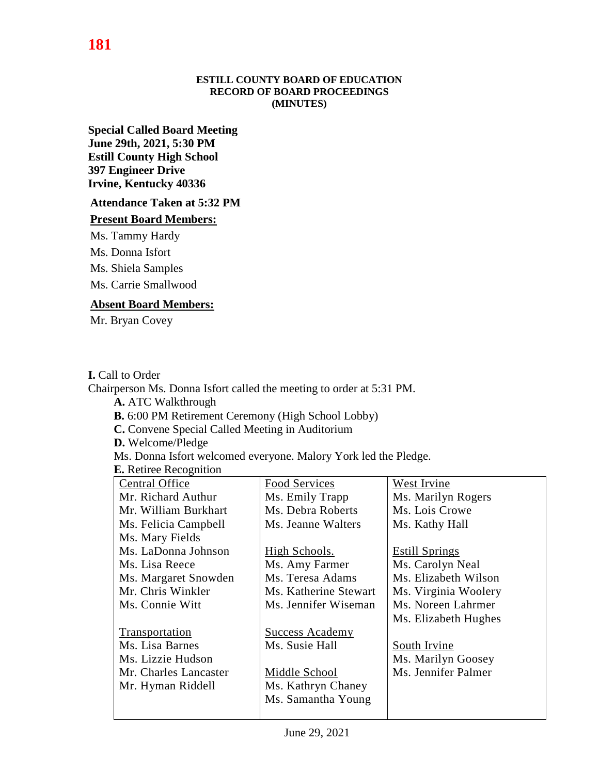#### **ESTILL COUNTY BOARD OF EDUCATION RECORD OF BOARD PROCEEDINGS (MINUTES)**

**Special Called Board Meeting June 29th, 2021, 5:30 PM Estill County High School 397 Engineer Drive Irvine, Kentucky 40336**

### **Attendance Taken at 5:32 PM**

#### **Present Board Members:**

Ms. Tammy Hardy

Ms. Donna Isfort

Ms. Shiela Samples

Ms. Carrie Smallwood

### **Absent Board Members:**

Mr. Bryan Covey

### **I.** Call to Order

Chairperson Ms. Donna Isfort called the meeting to order at 5:31 PM. **A.** ATC Walkthrough **B.** 6:00 PM Retirement Ceremony (High School Lobby) **C.** Convene Special Called Meeting in Auditorium **D.** Welcome/Pledge Ms. Donna Isfort welcomed everyone. Malory York led the Pledge. **E.** Retiree Recognition

| <b>Central Office</b> | <b>Food Services</b>   | West Irvine           |
|-----------------------|------------------------|-----------------------|
| Mr. Richard Authur    | Ms. Emily Trapp        | Ms. Marilyn Rogers    |
| Mr. William Burkhart  | Ms. Debra Roberts      | Ms. Lois Crowe        |
| Ms. Felicia Campbell  | Ms. Jeanne Walters     | Ms. Kathy Hall        |
| Ms. Mary Fields       |                        |                       |
| Ms. LaDonna Johnson   | High Schools.          | <b>Estill Springs</b> |
| Ms. Lisa Reece        | Ms. Amy Farmer         | Ms. Carolyn Neal      |
| Ms. Margaret Snowden  | Ms. Teresa Adams       | Ms. Elizabeth Wilson  |
| Mr. Chris Winkler     | Ms. Katherine Stewart  | Ms. Virginia Woolery  |
| Ms. Connie Witt       | Ms. Jennifer Wiseman   | Ms. Noreen Lahrmer    |
|                       |                        | Ms. Elizabeth Hughes  |
| Transportation        | <b>Success Academy</b> |                       |
| Ms. Lisa Barnes       | Ms. Susie Hall         | South Irvine          |
| Ms. Lizzie Hudson     |                        | Ms. Marilyn Goosey    |
| Mr. Charles Lancaster | Middle School          | Ms. Jennifer Palmer   |
| Mr. Hyman Riddell     | Ms. Kathryn Chaney     |                       |
|                       | Ms. Samantha Young     |                       |
|                       |                        |                       |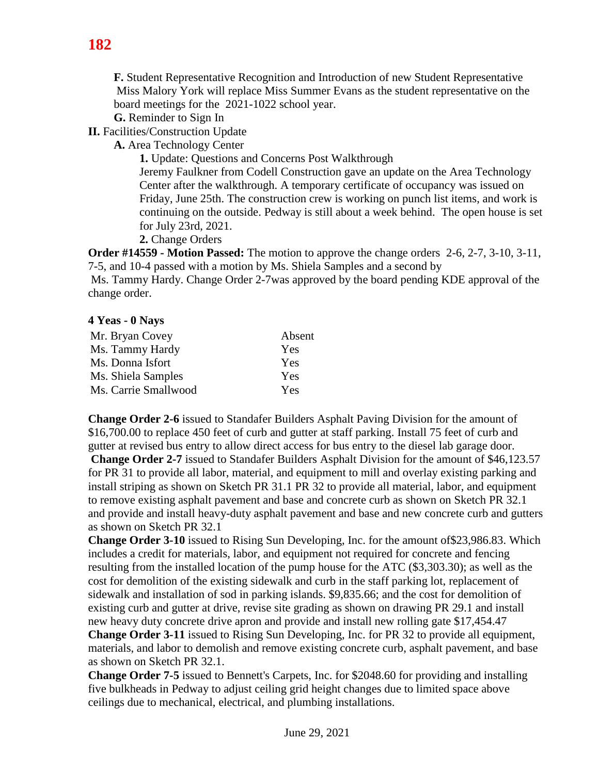**F.** Student Representative Recognition and Introduction of new Student Representative Miss Malory York will replace Miss Summer Evans as the student representative on the board meetings for the 2021-1022 school year.

**G.** Reminder to Sign In

**II.** Facilities/Construction Update

**A.** Area Technology Center

**1.** Update: Questions and Concerns Post Walkthrough

Jeremy Faulkner from Codell Construction gave an update on the Area Technology Center after the walkthrough. A temporary certificate of occupancy was issued on Friday, June 25th. The construction crew is working on punch list items, and work is continuing on the outside. Pedway is still about a week behind. The open house is set for July 23rd, 2021.

**2.** Change Orders

**Order #14559 - Motion Passed:** The motion to approve the change orders 2-6, 2-7, 3-10, 3-11, 7-5, and 10-4 passed with a motion by Ms. Shiela Samples and a second by

Ms. Tammy Hardy. Change Order 2-7was approved by the board pending KDE approval of the change order.

## **4 Yeas - 0 Nays**

| Mr. Bryan Covey      | Absent |
|----------------------|--------|
| Ms. Tammy Hardy      | Yes    |
| Ms. Donna Isfort     | Yes    |
| Ms. Shiela Samples   | Yes    |
| Ms. Carrie Smallwood | Yes    |

**Change Order 2-6** issued to Standafer Builders Asphalt Paving Division for the amount of \$16,700.00 to replace 450 feet of curb and gutter at staff parking. Install 75 feet of curb and gutter at revised bus entry to allow direct access for bus entry to the diesel lab garage door.

**Change Order 2-7** issued to Standafer Builders Asphalt Division for the amount of \$46,123.57 for PR 31 to provide all labor, material, and equipment to mill and overlay existing parking and install striping as shown on Sketch PR 31.1 PR 32 to provide all material, labor, and equipment to remove existing asphalt pavement and base and concrete curb as shown on Sketch PR 32.1 and provide and install heavy-duty asphalt pavement and base and new concrete curb and gutters as shown on Sketch PR 32.1

**Change Order 3-10** issued to Rising Sun Developing, Inc. for the amount of\$23,986.83. Which includes a credit for materials, labor, and equipment not required for concrete and fencing resulting from the installed location of the pump house for the ATC (\$3,303.30); as well as the cost for demolition of the existing sidewalk and curb in the staff parking lot, replacement of sidewalk and installation of sod in parking islands. \$9,835.66; and the cost for demolition of existing curb and gutter at drive, revise site grading as shown on drawing PR 29.1 and install new heavy duty concrete drive apron and provide and install new rolling gate \$17,454.47

**Change Order 3-11** issued to Rising Sun Developing, Inc. for PR 32 to provide all equipment, materials, and labor to demolish and remove existing concrete curb, asphalt pavement, and base as shown on Sketch PR 32.1.

**Change Order 7-5** issued to Bennett's Carpets, Inc. for \$2048.60 for providing and installing five bulkheads in Pedway to adjust ceiling grid height changes due to limited space above ceilings due to mechanical, electrical, and plumbing installations.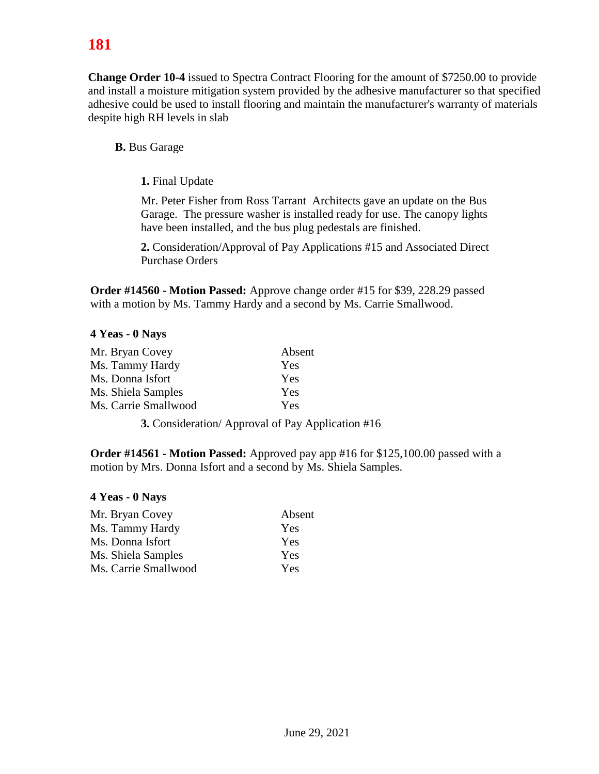# **181**

**Change Order 10-4** issued to Spectra Contract Flooring for the amount of \$7250.00 to provide and install a moisture mitigation system provided by the adhesive manufacturer so that specified adhesive could be used to install flooring and maintain the manufacturer's warranty of materials despite high RH levels in slab

**B.** Bus Garage

**1.** Final Update

Mr. Peter Fisher from Ross Tarrant Architects gave an update on the Bus Garage. The pressure washer is installed ready for use. The canopy lights have been installed, and the bus plug pedestals are finished.

**2.** Consideration/Approval of Pay Applications #15 and Associated Direct Purchase Orders

**Order #14560 - Motion Passed:** Approve change order #15 for \$39, 228.29 passed with a motion by Ms. Tammy Hardy and a second by Ms. Carrie Smallwood.

# **4 Yeas - 0 Nays**

| Mr. Bryan Covey      | Absent |
|----------------------|--------|
| Ms. Tammy Hardy      | Yes    |
| Ms. Donna Isfort     | Yes    |
| Ms. Shiela Samples   | Yes    |
| Ms. Carrie Smallwood | Yes    |

**3.** Consideration/ Approval of Pay Application #16

**Order #14561 - Motion Passed:** Approved pay app #16 for \$125,100.00 passed with a motion by Mrs. Donna Isfort and a second by Ms. Shiela Samples.

## **4 Yeas - 0 Nays**

| Mr. Bryan Covey      | Absent |
|----------------------|--------|
| Ms. Tammy Hardy      | Yes    |
| Ms. Donna Isfort     | Yes    |
| Ms. Shiela Samples   | Yes    |
| Ms. Carrie Smallwood | Yes    |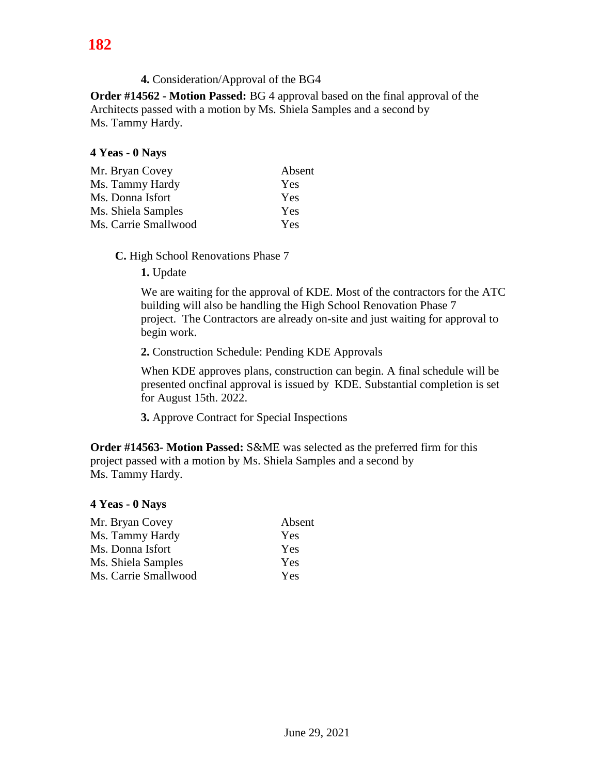# **4.** Consideration/Approval of the BG4

**Order #14562 - Motion Passed:** BG 4 approval based on the final approval of the Architects passed with a motion by Ms. Shiela Samples and a second by Ms. Tammy Hardy.

### **4 Yeas - 0 Nays**

| Absent |
|--------|
| Yes    |
| Yes    |
| Yes    |
| Yes    |
|        |

**C.** High School Renovations Phase 7

**1.** Update

We are waiting for the approval of KDE. Most of the contractors for the ATC building will also be handling the High School Renovation Phase 7 project. The Contractors are already on-site and just waiting for approval to begin work.

**2.** Construction Schedule: Pending KDE Approvals

When KDE approves plans, construction can begin. A final schedule will be presented oncfinal approval is issued by KDE. Substantial completion is set for August 15th. 2022.

**3.** Approve Contract for Special Inspections

**Order #14563- Motion Passed:** S&ME was selected as the preferred firm for this project passed with a motion by Ms. Shiela Samples and a second by Ms. Tammy Hardy.

#### **4 Yeas - 0 Nays**

| Mr. Bryan Covey      | Absent |
|----------------------|--------|
| Ms. Tammy Hardy      | Yes    |
| Ms. Donna Isfort     | Yes    |
| Ms. Shiela Samples   | Yes    |
| Ms. Carrie Smallwood | Yes    |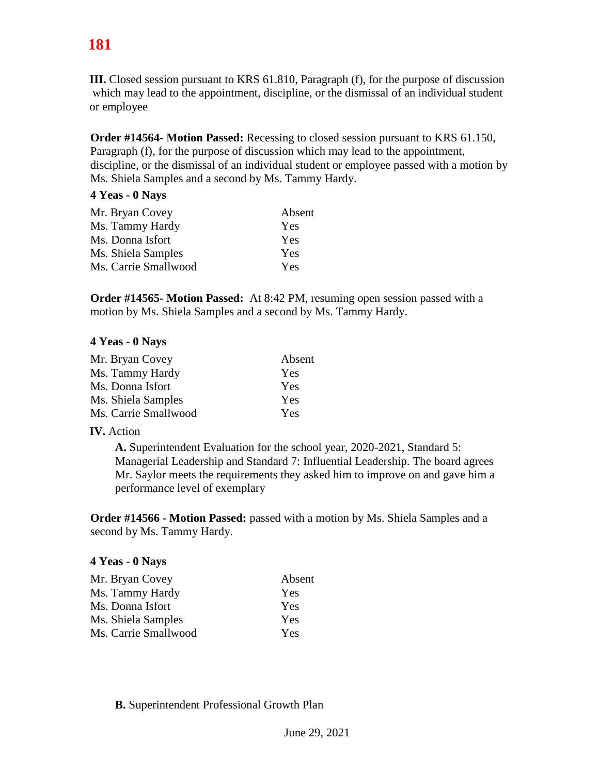# **181**

**III.** Closed session pursuant to KRS 61.810, Paragraph (f), for the purpose of discussion which may lead to the appointment, discipline, or the dismissal of an individual student or employee

**Order #14564- Motion Passed:** Recessing to closed session pursuant to KRS 61.150, Paragraph (f), for the purpose of discussion which may lead to the appointment, discipline, or the dismissal of an individual student or employee passed with a motion by Ms. Shiela Samples and a second by Ms. Tammy Hardy.

## **4 Yeas - 0 Nays**

| Absent     |
|------------|
| Yes        |
| Yes        |
| <b>Yes</b> |
| Yes        |
|            |

**Order #14565- Motion Passed:** At 8:42 PM, resuming open session passed with a motion by Ms. Shiela Samples and a second by Ms. Tammy Hardy.

### **4 Yeas - 0 Nays**

| Absent     |
|------------|
| Yes        |
| Yes        |
| <b>Yes</b> |
| Yes        |
|            |

## **IV.** Action

**A.** Superintendent Evaluation for the school year, 2020-2021, Standard 5: Managerial Leadership and Standard 7: Influential Leadership. The board agrees Mr. Saylor meets the requirements they asked him to improve on and gave him a performance level of exemplary

**Order #14566 - Motion Passed:** passed with a motion by Ms. Shiela Samples and a second by Ms. Tammy Hardy.

#### **4 Yeas - 0 Nays**

| Absent     |
|------------|
| <b>Yes</b> |
| <b>Yes</b> |
| <b>Yes</b> |
| Yes        |
|            |

**B.** Superintendent Professional Growth Plan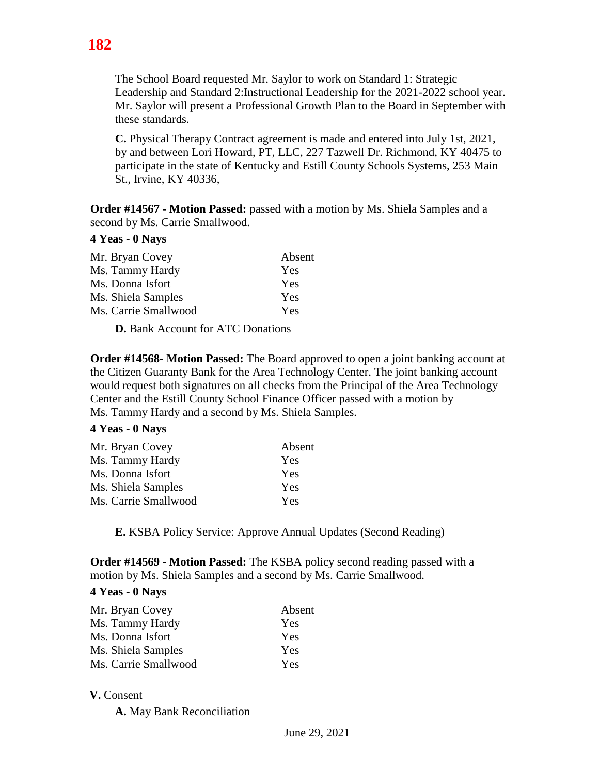Mr. Saylor will present a Professional Growth Plan to the Board in September with these standards.

**C.** Physical Therapy Contract agreement is made and entered into July 1st, 2021, by and between Lori Howard, PT, LLC, 227 Tazwell Dr. Richmond, KY 40475 to participate in the state of Kentucky and Estill County Schools Systems, 253 Main St., Irvine, KY 40336,

**Order #14567 - Motion Passed:** passed with a motion by Ms. Shiela Samples and a second by Ms. Carrie Smallwood.

## **4 Yeas - 0 Nays**

| Absent     |
|------------|
| Yes        |
| Yes        |
| <b>Yes</b> |
| Yes        |
|            |

**D.** Bank Account for ATC Donations

**Order #14568- Motion Passed:** The Board approved to open a joint banking account at the Citizen Guaranty Bank for the Area Technology Center. The joint banking account would request both signatures on all checks from the Principal of the Area Technology Center and the Estill County School Finance Officer passed with a motion by Ms. Tammy Hardy and a second by Ms. Shiela Samples.

# **4 Yeas - 0 Nays**

| Mr. Bryan Covey      | Absent |
|----------------------|--------|
| Ms. Tammy Hardy      | Yes    |
| Ms. Donna Isfort     | Yes    |
| Ms. Shiela Samples   | Yes    |
| Ms. Carrie Smallwood | Yes    |

**E.** KSBA Policy Service: Approve Annual Updates (Second Reading)

**Order #14569 - Motion Passed:** The KSBA policy second reading passed with a motion by Ms. Shiela Samples and a second by Ms. Carrie Smallwood.

# **4 Yeas - 0 Nays**

| Mr. Bryan Covey      | Absent     |
|----------------------|------------|
| Ms. Tammy Hardy      | Yes        |
| Ms. Donna Isfort     | <b>Yes</b> |
| Ms. Shiela Samples   | <b>Yes</b> |
| Ms. Carrie Smallwood | Yes        |

# **V.** Consent

**A.** May Bank Reconciliation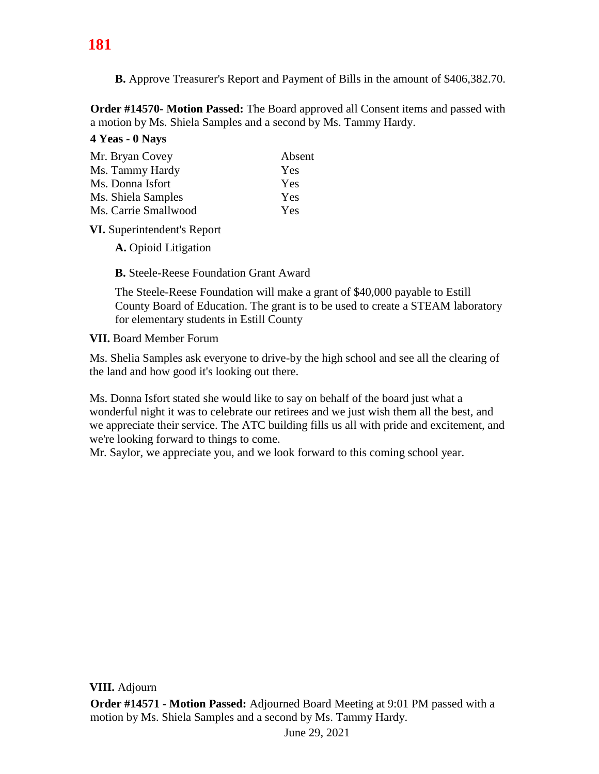**B.** Approve Treasurer's Report and Payment of Bills in the amount of \$406,382.70.

**Order #14570- Motion Passed:** The Board approved all Consent items and passed with a motion by Ms. Shiela Samples and a second by Ms. Tammy Hardy.

## **4 Yeas - 0 Nays**

| Mr. Bryan Covey      | Absent |
|----------------------|--------|
| Ms. Tammy Hardy      | Yes    |
| Ms. Donna Isfort     | Yes    |
| Ms. Shiela Samples   | Yes    |
| Ms. Carrie Smallwood | Yes    |
|                      |        |

**VI.** Superintendent's Report

**A.** Opioid Litigation

**B.** Steele-Reese Foundation Grant Award

The Steele-Reese Foundation will make a grant of \$40,000 payable to Estill County Board of Education. The grant is to be used to create a STEAM laboratory for elementary students in Estill County

**VII.** Board Member Forum

Ms. Shelia Samples ask everyone to drive-by the high school and see all the clearing of the land and how good it's looking out there.

Ms. Donna Isfort stated she would like to say on behalf of the board just what a wonderful night it was to celebrate our retirees and we just wish them all the best, and we appreciate their service. The ATC building fills us all with pride and excitement, and we're looking forward to things to come.

Mr. Saylor, we appreciate you, and we look forward to this coming school year.